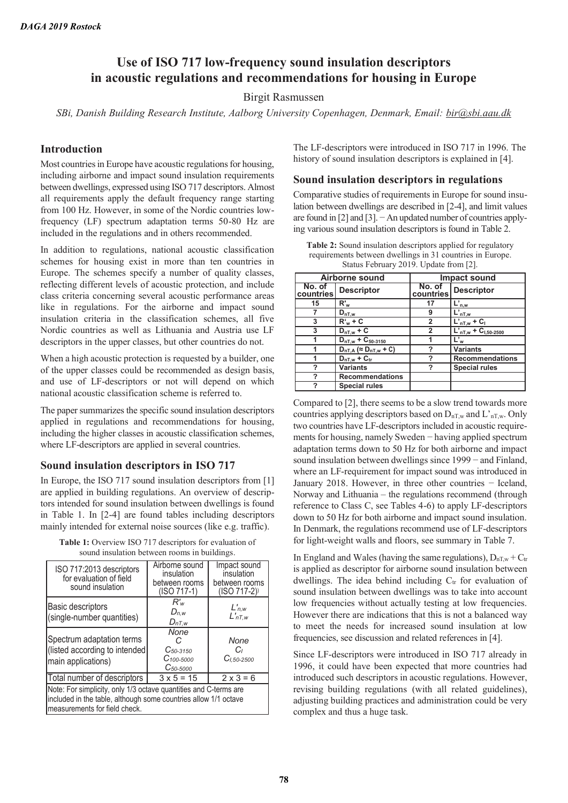# **Use of ISO 717 low-frequency sound insulation descriptors in acoustic regulations and recommendations for housing in Europe**

## Birgit Rasmussen

*SBi, Danish Building Research Institute, Aalborg University Copenhagen, Denmark, Email: bir@sbi.aau.dk* 

## **Introduction**

Most countries in Europe have acoustic regulations for housing, including airborne and impact sound insulation requirements between dwellings, expressed using ISO 717 descriptors. Almost all requirements apply the default frequency range starting from 100 Hz. However, in some of the Nordic countries lowfrequency (LF) spectrum adaptation terms 50-80 Hz are included in the regulations and in others recommended.

In addition to regulations, national acoustic classification schemes for housing exist in more than ten countries in Europe. The schemes specify a number of quality classes, reflecting different levels of acoustic protection, and include class criteria concerning several acoustic performance areas like in regulations. For the airborne and impact sound insulation criteria in the classification schemes, all five Nordic countries as well as Lithuania and Austria use LF descriptors in the upper classes, but other countries do not.

When a high acoustic protection is requested by a builder, one of the upper classes could be recommended as design basis, and use of LF-descriptors or not will depend on which national acoustic classification scheme is referred to.

The paper summarizes the specific sound insulation descriptors applied in regulations and recommendations for housing, including the higher classes in acoustic classification schemes, where LF-descriptors are applied in several countries.

## **Sound insulation descriptors in ISO 717**

In Europe, the ISO 717 sound insulation descriptors from [1] are applied in building regulations. An overview of descriptors intended for sound insulation between dwellings is found in Table 1. In [2-4] are found tables including descriptors mainly intended for external noise sources (like e.g. traffic).

**Table 1:** Overview ISO 717 descriptors for evaluation of sound insulation between rooms in buildings.

| ISO 717:2013 descriptors<br>for evaluation of field<br>sound insulation                                                                                              | Airborne sound<br>insulation<br>between rooms<br>(ISO 717-1) | Impact sound<br>insulation<br>between rooms<br>$(ISO 717-2)$ |  |  |  |  |
|----------------------------------------------------------------------------------------------------------------------------------------------------------------------|--------------------------------------------------------------|--------------------------------------------------------------|--|--|--|--|
| Basic descriptors<br>(single-number quantities)                                                                                                                      | $R'_{w}$<br>$D_{n,w}$<br>$D_{nT,w}$                          | $L'_{n,w}$<br>$L'_{nT,w}$                                    |  |  |  |  |
| Spectrum adaptation terms<br>(listed according to intended<br>main applications)                                                                                     | None<br>$C_{50-3150}$<br>$C_{100-5000}$<br>$C_{50-5000}$     | None<br>Cı<br>$C_{1.50-2500}$                                |  |  |  |  |
| Total number of descriptors                                                                                                                                          | $3 × 5 = 15$                                                 | $2 \times 3 = 6$                                             |  |  |  |  |
| Note: For simplicity, only 1/3 octave quantities and C-terms are<br>included in the table, although some countries allow 1/1 octave<br>measurements for field check. |                                                              |                                                              |  |  |  |  |

The LF-descriptors were introduced in ISO 717 in 1996. The history of sound insulation descriptors is explained in [4].

#### **Sound insulation descriptors in regulations**

Comparative studies of requirements in Europe for sound insulation between dwellings are described in [2-4], and limit values are found in [2] and [3]. − An updated number of countries applying various sound insulation descriptors is found in Table 2.

**Table 2:** Sound insulation descriptors applied for regulatory requirements between dwellings in 31 countries in Europe. Status February 2019. Update from [2].

|                     | Airborne sound                       |                     | <b>Impact sound</b>           |
|---------------------|--------------------------------------|---------------------|-------------------------------|
| No. of<br>countries | <b>Descriptor</b>                    | No. of<br>countries | <b>Descriptor</b>             |
| 15                  | $R^{\prime}{}_{w}$                   | 17                  | $L'_{n,w}$                    |
|                     | $D_{nT,w}$                           | 9                   | $L'_{nT,w}$                   |
| 3                   | $R'_{w}$ + C                         | $\mathbf{2}$        | $L'_{nT,w}$ + C <sub>1</sub>  |
| 3                   | $D_{nT,w}$ + C                       | $\overline{2}$      | $L'_{nT,w}$ + $C_{1,50-2500}$ |
| 1                   | $D_{nT,w}$ + $C_{50-3150}$           |                     | L' <sub>w</sub>               |
| 1                   | $D_{nT,A}$ ( $\approx D_{nT,w}$ + C) | ?                   | <b>Variants</b>               |
|                     | $D_{nT,w} + C_{tr}$                  | 7                   | <b>Recommendations</b>        |
| ?                   | <b>Variants</b>                      | ?                   | <b>Special rules</b>          |
| 7                   | <b>Recommendations</b>               |                     |                               |
| 7                   | <b>Special rules</b>                 |                     |                               |

Compared to [2], there seems to be a slow trend towards more countries applying descriptors based on  $D_{nTw}$  and  $L'_{nTw}$ . Only two countries have LF-descriptors included in acoustic requirements for housing, namely Sweden − having applied spectrum adaptation terms down to 50 Hz for both airborne and impact sound insulation between dwellings since 1999 – and Finland, where an LF-requirement for impact sound was introduced in January 2018. However, in three other countries − Iceland, Norway and Lithuania – the regulations recommend (through reference to Class C, see Tables 4-6) to apply LF-descriptors down to 50 Hz for both airborne and impact sound insulation. In Denmark, the regulations recommend use of LF-descriptors for light-weight walls and floors, see summary in Table 7.

In England and Wales (having the same regulations),  $D_{nT,w} + C_{tr}$ is applied as descriptor for airborne sound insulation between dwellings. The idea behind including  $C_{tr}$  for evaluation of sound insulation between dwellings was to take into account low frequencies without actually testing at low frequencies. However there are indications that this is not a balanced way to meet the needs for increased sound insulation at low frequencies, see discussion and related references in [4].

Since LF-descriptors were introduced in ISO 717 already in 1996, it could have been expected that more countries had introduced such descriptors in acoustic regulations. However, revising building regulations (with all related guidelines), adjusting building practices and administration could be very complex and thus a huge task.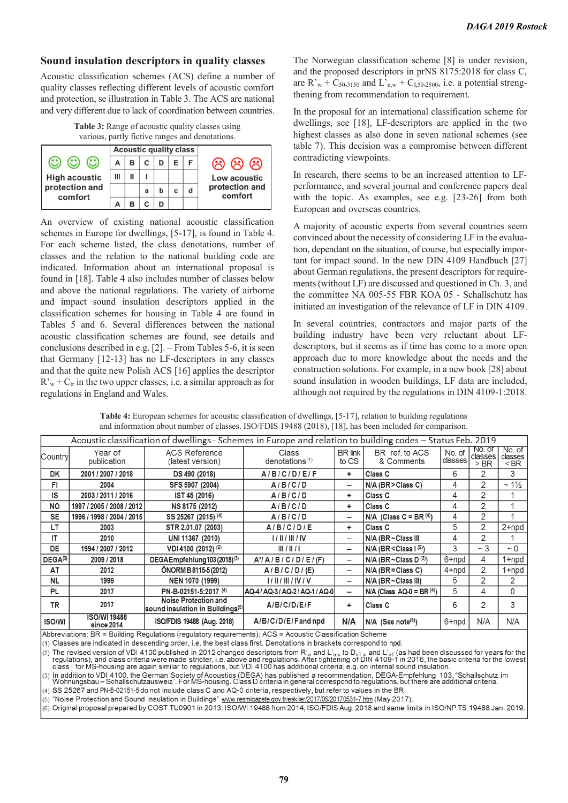## **Sound insulation descriptors in quality classes**

Acoustic classification schemes (ACS) define a number of quality classes reflecting different levels of acoustic comfort and protection, se illustration in Table 3. The ACS are national and very different due to lack of coordination between countries.

| <b>Table 3:</b> Range of acoustic quality classes using |  |  |  |
|---------------------------------------------------------|--|--|--|
| various, partly fictive ranges and denotations.         |  |  |  |



An overview of existing national acoustic classification schemes in Europe for dwellings, [5-17], is found in Table 4. For each scheme listed, the class denotations, number of classes and the relation to the national building code are indicated. Information about an international proposal is found in [18]. Table 4 also includes number of classes below and above the national regulations. The variety of airborne and impact sound insulation descriptors applied in the classification schemes for housing in Table 4 are found in Tables 5 and 6. Several differences between the national acoustic classification schemes are found, see details and conclusions described in e.g. [2]. – From Tables 5-6, it is seen that Germany [12-13] has no LF-descriptors in any classes and that the quite new Polish ACS [16] applies the descriptor  $R_{w}^{v}$  + C<sub>tr</sub> in the two upper classes, i.e. a similar approach as for regulations in England and Wales.

The Norwegian classification scheme [8] is under revision, and the proposed descriptors in prNS 8175:2018 for class C, are R'<sub>w</sub> + C<sub>50-3150</sub> and L'<sub>n,w</sub> + C<sub>1,50-2500</sub>, i.e. a potential strengthening from recommendation to requirement.

In the proposal for an international classification scheme for dwellings, see [18], LF-descriptors are applied in the two highest classes as also done in seven national schemes (see table 7). This decision was a compromise between different contradicting viewpoints.

In research, there seems to be an increased attention to LFperformance, and several journal and conference papers deal with the topic. As examples, see e.g. [23-26] from both European and overseas countries.

A majority of acoustic experts from several countries seem convinced about the necessity of considering LF in the evaluation, dependant on the situation, of course, but especially important for impact sound. In the new DIN 4109 Handbuch [27] about German regulations, the present descriptors for requirements (without LF) are discussed and questioned in Ch. 3, and the committee NA 005-55 FBR KOA 05 - Schallschutz has initiated an investigation of the relevance of LF in DIN 4109.

In several countries, contractors and major parts of the building industry have been very reluctant about LFdescriptors, but it seems as if time has come to a more open approach due to more knowledge about the needs and the construction solutions. For example, in a new book [28] about sound insulation in wooden buildings, LF data are included, although not required by the regulations in DIN 4109-1:2018.

| <b>Table 4:</b> European schemes for acoustic classification of dwellings, [5-17], relation to building regulations |  |  |  |
|---------------------------------------------------------------------------------------------------------------------|--|--|--|
| and information about number of classes. ISO/FDIS 19488 (2018), [18], has been included for comparison.             |  |  |  |

|               | Acoustic classification of dwellings - Schemes in Europe and relation to building codes - Status Feb. 2019 |                                                                             |                                     |                          |                                  |                   |                             |                             |
|---------------|------------------------------------------------------------------------------------------------------------|-----------------------------------------------------------------------------|-------------------------------------|--------------------------|----------------------------------|-------------------|-----------------------------|-----------------------------|
| Countryl      | Year of<br>publication                                                                                     | <b>ACS Reference</b><br>(latest version)                                    | Class<br>denotations <sup>(1)</sup> | <b>BR</b> link<br>to CS  | BR ref. to ACS<br>& Comments     | No. of<br>classes | No. of<br>classes<br>$>$ BR | No. of<br>classes<br>$<$ BR |
| <b>DK</b>     | 2001 / 2007 / 2018                                                                                         | DS 490 (2018)                                                               | A/B/C/D/E/F                         | ÷                        | Class C                          | 6                 | 2                           | 3                           |
| FI            | 2004                                                                                                       | SFS 5907 (2004)                                                             | A/B/C/D                             | $\overline{\phantom{0}}$ | $N/A$ (BR > Class C)             | 4                 | 2                           | $\sim$ 1 $\frac{1}{2}$      |
| IS            | 2003 / 2011 / 2016                                                                                         | IST 45 (2016)                                                               | A/B/C/D                             | ÷.                       | Class <sub>C</sub>               | 4                 | 2                           |                             |
| <b>NO</b>     | 1997 / 2005 / 2008 / 2012                                                                                  | NS 8175 (2012)                                                              | A/B/C/D                             | ٠                        | Class <sub>C</sub>               | 4                 | 2                           |                             |
| <b>SE</b>     | 1996 / 1998 / 2004 / 2015                                                                                  | SS 25267 (2015) <sup>(4)</sup>                                              | A/B/C/D                             | -                        | N/A (Class C = BR $(4)$ )        | 4                 | 2                           |                             |
| LT            | 2003                                                                                                       | STR 2.01.07 (2003)                                                          | A/B/C/D/E                           | ÷                        | Class C                          | 5                 | 2                           | $2 + npd$                   |
| IΤ            | 2010                                                                                                       | UNI 11367 (2010)                                                            | 1/11/111/1V                         | $\overline{\phantom{0}}$ | N/A (BR~Class III                | 4                 | 2                           |                             |
| DE            | 1994 / 2007 / 2012                                                                                         | VDI 4100 (2012) <sup>(2)</sup>                                              | III/II/1                            | -                        | $N/A$ (BR < Class $I^{(2)}$ )    | 3                 | $\sim$ 3                    | $\sim 0$                    |
| $DEGA^{(3)}$  | 2009 / 2018                                                                                                | DEGA Empfehlung 103 (2018) <sup>(3)</sup>                                   | $A^{\dagger}/A/B/C/D/E/(F)$         | $\overline{\phantom{0}}$ | $N/A$ (BR ~ Class D $(3)$ )      | 6+npd             | 4                           | $1 + npd$                   |
| AT            | 2012                                                                                                       | ÖNORM B 8115-5 (2012)                                                       | A/B/C/D/(E)                         |                          | $N/A$ (BR = Class C)             | $4 + npd$         | 2                           | 1+npd                       |
| <b>NL</b>     | 1999                                                                                                       | NEN 1070 (1999)                                                             | 1/11/111/1V/V                       | $\overline{\phantom{m}}$ | $N/A$ (BR $\sim$ Class III)      | 5                 | $\overline{2}$              | 2                           |
| PL            | 2017                                                                                                       | PN-B-02151-5:2017 (4)                                                       | AQ-4 / AQ-3 / AQ-2 / AQ-1 / AQ-0    | $\overline{\phantom{m}}$ | $N/A$ (Class $AQ-0 = BR(4)$ )    | 5                 | 4                           | 0                           |
| TR            | 2017                                                                                                       | <b>Noise Protection and</b><br>sound insulation in Buildings <sup>(5)</sup> | A/B/C/D/E/F                         | ٠                        | Class <sub>C</sub>               | 6                 | 2                           | 3                           |
| <b>ISO/WI</b> | <b>ISO/WI19488</b><br>since 2014                                                                           | ISO/FDIS 19488 (Aug. 2018)                                                  | A/B/C/D/E/Fand npd                  | N/A                      | $N/A$ (See note <sup>(6)</sup> ) | 6+npd             | N/A                         | N/A                         |

Abbreviations: BR = Building Regulations (regulatory requirements); ACS = Acoustic Classification Scheme

(1) Classes are indicated in descending order, i.e. the best class first. Denotations in brackets correspond to npd.

(2) The revised version of VDI 4100 published in 2012 changed descriptors from R'<sub>w</sub> and L'<sub>n,w</sub> to D<sub>nT,w</sub> and L'<sub>n</sub>, and L'<sub>n</sub>, (as had been discussed for years for the regulations), and class criteria were made stricte

(3) In addition to VDI 4100, the German Society of Acoustics (DEGA) has published a recommendation, DEGA-Empfehlung 103, "Schallschutz"<br>Wohnungsbau – Schallschutzausweiz". For MS-housing, Class D criteria in general corres 'Schallschutz im

(4) SS 25267 and PN-B-02151-5 do not include class C and AQ-0 criteria, respectively, but refer to values in the BR.

(5) "Noise Protection and Sound Insulation in Buildings" www.resmigazete.gov.tr/eskiler/2017/05/20170531-7.htm (May 2017).

(6) Original proposal prepared by COST TU0901 in 2013. ISO/WI 19488 from 2014, ISO/FDIS Aug. 2018 and same limits in ISO/NP TS 19488 Jan. 2019.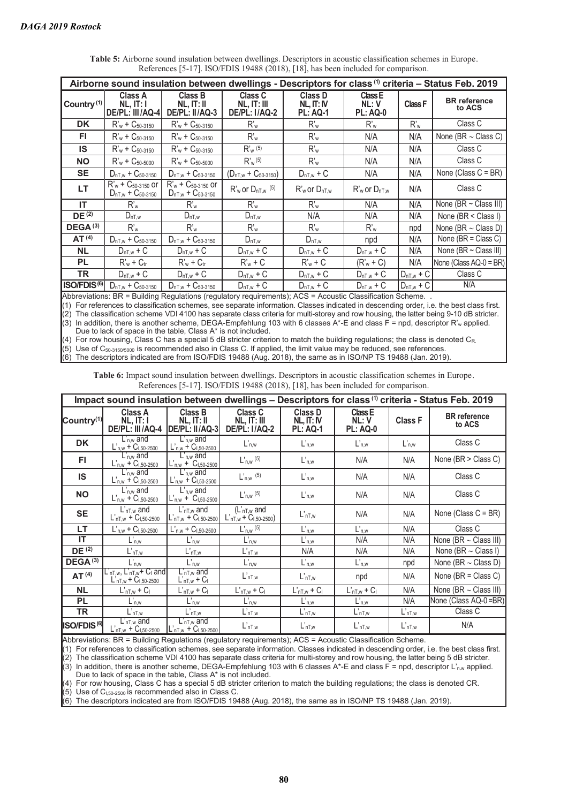| Class D<br>Class A<br>Class B<br>Class C<br>Class E<br><b>BR</b> reference<br>Country <sup>(1)</sup><br>NL, IT: I<br>NL, IT: IV<br>NL: V<br>Class F<br>NL, IT: III<br>NL, IT: II<br>to ACS<br>DE/PL: III/AQ-4<br>DE/PL: II/AQ-3<br><b>DE/PL: I/AQ-2</b><br><b>PL: AQ-0</b><br><b>PL: AQ-1</b><br>Class C<br>DK<br>$R'_w$ + $C_{50-3150}$<br>$R'_w$ + $C_{50-3150}$<br>R'w<br>$R_w$<br>$R_w$<br>$R_w$<br>None (BR $\sim$ Class C)<br>FI.<br>R'w<br>N/A<br>$R'_w$ + $C_{50-3150}$<br>$R'_w$ + $C_{50-3150}$<br>$R_w$<br>N/A<br>Class C<br><b>IS</b><br>$R'_{w}$ (5)<br>$R'_w$ + $C_{50-3150}$<br>R'w<br>$R'_w$ + $C_{50-3150}$<br>N/A<br>N/A<br>Class C<br><b>NO</b><br>$R'_{w}$ <sup>(5)</sup><br>$R_w$<br>$R'_w$ + $C_{50-5000}$<br>$R'_w$ + $C_{50-5000}$<br>N/A<br>N/A<br>None (Class $C = BR$ )<br><b>SE</b><br>N/A<br>$D_{nT,w} + C_{50-3150}$<br>$D_{nT,w} + C_{50-3150}$<br>$(D_{nT,w} + C_{50-3150})$<br>N/A<br>$D_{nT,w} + C$<br>$R'_w$ + $C_{50-3150}$ or<br>$R'_{w}$ + $C_{50-3150}$ or<br>LT<br>Class C<br>$R'_{w}$ or $D_{nT,w}$ <sup>(5)</sup><br>N/A<br>$R'$ <sub>w</sub> or $D_{nT,w}$<br>$R'$ <sub>w</sub> or $D_{nT,w}$<br>$D_{nT,w}$ + $C_{50-3150}$<br>$D_{nT,w}$ + $C_{50-3150}$<br>None ( $BR \sim$ Class III)<br>ΙT<br>R'w<br>$R'_{w}$<br>N/A<br>$R_w$<br>$R_w$<br>N/A<br>DE <sup>(2)</sup><br>None (BR < Class I)<br>N/A<br>N/A<br>$D_{nT,w}$<br>$D_{nT,w}$<br>N/A<br>$D_{nT,w}$<br>DEGA <sup>(3)</sup><br>R'w<br>R'w<br>$R_w$<br>$R_w$<br>R'w<br>None (BR $\sim$ Class D)<br>npd<br>AT <sup>(4)</sup><br>None ( $BR = Class C$ )<br>N/A<br>$D_{nT,w} + C_{50-3150}$<br>$D_{nT,w} + C_{50-3150}$<br>$D_{nT,w}$<br>$D_{nT,w}$<br>npd<br>None $(BR \sim Class III)$<br><b>NL</b><br>N/A<br>$D_{nT,w}$ + C<br>$D_{nT,w}$ + C<br>$D_{nT,w}$ + C<br>$D_{nT,w}$ + C<br>$D_{nT,w}$ + C<br>None (Class $AQ-0 = BR$ )<br><b>PL</b><br>N/A<br>$R'_w$ + $C_v$<br>$R'_w$ + $C_v$<br>$R'_w$ + $C$<br>$R'_w$ + $C$<br>$(Rw + C)$<br>TR<br>Class C<br>$D_{nT,w} + C$<br>$D_{nT,w}$ + C<br>$D_{nT,w} + C$<br>$D_{nT,w} + C$<br>$D_{nT,w} + C$<br>$D_{nT,w}$ + C<br>ISO/FDIS <sup>(6)</sup><br>N/A<br>$D_{nT,w} + C_{50-3150}$<br>$D_{nT,w} + C_{50-3150}$<br>$D_{nT,w} + C$<br>$D_{nT,w} + C$<br>$D_{nT,w} + C$<br>$D_{nT,w}$ + C | Airborne sound insulation between dwellings - Descriptors for class (1) criteria - Status Feb. 2019 |  |  |  |  |  |  |
|------------------------------------------------------------------------------------------------------------------------------------------------------------------------------------------------------------------------------------------------------------------------------------------------------------------------------------------------------------------------------------------------------------------------------------------------------------------------------------------------------------------------------------------------------------------------------------------------------------------------------------------------------------------------------------------------------------------------------------------------------------------------------------------------------------------------------------------------------------------------------------------------------------------------------------------------------------------------------------------------------------------------------------------------------------------------------------------------------------------------------------------------------------------------------------------------------------------------------------------------------------------------------------------------------------------------------------------------------------------------------------------------------------------------------------------------------------------------------------------------------------------------------------------------------------------------------------------------------------------------------------------------------------------------------------------------------------------------------------------------------------------------------------------------------------------------------------------------------------------------------------------------------------------------------------------------------------------------------------------------------------------------------------------------------------------------------------------------------------------------------------------------------------------------------------------------------------------------------------------|-----------------------------------------------------------------------------------------------------|--|--|--|--|--|--|
|                                                                                                                                                                                                                                                                                                                                                                                                                                                                                                                                                                                                                                                                                                                                                                                                                                                                                                                                                                                                                                                                                                                                                                                                                                                                                                                                                                                                                                                                                                                                                                                                                                                                                                                                                                                                                                                                                                                                                                                                                                                                                                                                                                                                                                          |                                                                                                     |  |  |  |  |  |  |
|                                                                                                                                                                                                                                                                                                                                                                                                                                                                                                                                                                                                                                                                                                                                                                                                                                                                                                                                                                                                                                                                                                                                                                                                                                                                                                                                                                                                                                                                                                                                                                                                                                                                                                                                                                                                                                                                                                                                                                                                                                                                                                                                                                                                                                          |                                                                                                     |  |  |  |  |  |  |
|                                                                                                                                                                                                                                                                                                                                                                                                                                                                                                                                                                                                                                                                                                                                                                                                                                                                                                                                                                                                                                                                                                                                                                                                                                                                                                                                                                                                                                                                                                                                                                                                                                                                                                                                                                                                                                                                                                                                                                                                                                                                                                                                                                                                                                          |                                                                                                     |  |  |  |  |  |  |
|                                                                                                                                                                                                                                                                                                                                                                                                                                                                                                                                                                                                                                                                                                                                                                                                                                                                                                                                                                                                                                                                                                                                                                                                                                                                                                                                                                                                                                                                                                                                                                                                                                                                                                                                                                                                                                                                                                                                                                                                                                                                                                                                                                                                                                          |                                                                                                     |  |  |  |  |  |  |
|                                                                                                                                                                                                                                                                                                                                                                                                                                                                                                                                                                                                                                                                                                                                                                                                                                                                                                                                                                                                                                                                                                                                                                                                                                                                                                                                                                                                                                                                                                                                                                                                                                                                                                                                                                                                                                                                                                                                                                                                                                                                                                                                                                                                                                          |                                                                                                     |  |  |  |  |  |  |
|                                                                                                                                                                                                                                                                                                                                                                                                                                                                                                                                                                                                                                                                                                                                                                                                                                                                                                                                                                                                                                                                                                                                                                                                                                                                                                                                                                                                                                                                                                                                                                                                                                                                                                                                                                                                                                                                                                                                                                                                                                                                                                                                                                                                                                          |                                                                                                     |  |  |  |  |  |  |
|                                                                                                                                                                                                                                                                                                                                                                                                                                                                                                                                                                                                                                                                                                                                                                                                                                                                                                                                                                                                                                                                                                                                                                                                                                                                                                                                                                                                                                                                                                                                                                                                                                                                                                                                                                                                                                                                                                                                                                                                                                                                                                                                                                                                                                          |                                                                                                     |  |  |  |  |  |  |
|                                                                                                                                                                                                                                                                                                                                                                                                                                                                                                                                                                                                                                                                                                                                                                                                                                                                                                                                                                                                                                                                                                                                                                                                                                                                                                                                                                                                                                                                                                                                                                                                                                                                                                                                                                                                                                                                                                                                                                                                                                                                                                                                                                                                                                          |                                                                                                     |  |  |  |  |  |  |
|                                                                                                                                                                                                                                                                                                                                                                                                                                                                                                                                                                                                                                                                                                                                                                                                                                                                                                                                                                                                                                                                                                                                                                                                                                                                                                                                                                                                                                                                                                                                                                                                                                                                                                                                                                                                                                                                                                                                                                                                                                                                                                                                                                                                                                          |                                                                                                     |  |  |  |  |  |  |
|                                                                                                                                                                                                                                                                                                                                                                                                                                                                                                                                                                                                                                                                                                                                                                                                                                                                                                                                                                                                                                                                                                                                                                                                                                                                                                                                                                                                                                                                                                                                                                                                                                                                                                                                                                                                                                                                                                                                                                                                                                                                                                                                                                                                                                          |                                                                                                     |  |  |  |  |  |  |
|                                                                                                                                                                                                                                                                                                                                                                                                                                                                                                                                                                                                                                                                                                                                                                                                                                                                                                                                                                                                                                                                                                                                                                                                                                                                                                                                                                                                                                                                                                                                                                                                                                                                                                                                                                                                                                                                                                                                                                                                                                                                                                                                                                                                                                          |                                                                                                     |  |  |  |  |  |  |
|                                                                                                                                                                                                                                                                                                                                                                                                                                                                                                                                                                                                                                                                                                                                                                                                                                                                                                                                                                                                                                                                                                                                                                                                                                                                                                                                                                                                                                                                                                                                                                                                                                                                                                                                                                                                                                                                                                                                                                                                                                                                                                                                                                                                                                          |                                                                                                     |  |  |  |  |  |  |
|                                                                                                                                                                                                                                                                                                                                                                                                                                                                                                                                                                                                                                                                                                                                                                                                                                                                                                                                                                                                                                                                                                                                                                                                                                                                                                                                                                                                                                                                                                                                                                                                                                                                                                                                                                                                                                                                                                                                                                                                                                                                                                                                                                                                                                          |                                                                                                     |  |  |  |  |  |  |
|                                                                                                                                                                                                                                                                                                                                                                                                                                                                                                                                                                                                                                                                                                                                                                                                                                                                                                                                                                                                                                                                                                                                                                                                                                                                                                                                                                                                                                                                                                                                                                                                                                                                                                                                                                                                                                                                                                                                                                                                                                                                                                                                                                                                                                          |                                                                                                     |  |  |  |  |  |  |
| <b>DD Dullation Department Committee</b><br>$\mathbf{A}$<br>$11.701 - 11.01 - 11.01$                                                                                                                                                                                                                                                                                                                                                                                                                                                                                                                                                                                                                                                                                                                                                                                                                                                                                                                                                                                                                                                                                                                                                                                                                                                                                                                                                                                                                                                                                                                                                                                                                                                                                                                                                                                                                                                                                                                                                                                                                                                                                                                                                     |                                                                                                     |  |  |  |  |  |  |

**Table 5:** Airborne sound insulation between dwellings. Descriptors in acoustic classification schemes in Europe. References [5-17]. ISO/FDIS 19488 (2018), [18], has been included for comparison.

Abbreviations: BR = Building Regulations (regulatory requirements); ACS = Acoustic Classification Scheme. .

(1) For references to classification schemes, see separate information. Classes indicated in descending order, i.e. the best class first.

 $\hat{p}(2)$  The classification scheme VDI 4100 has separate class criteria for multi-storey and row housing, the latter being 9-10 dB stricter.  $(3)$  In addition, there is another scheme, DEGA-Empfehlung 103 with 6 classes A\*-E and class  $\overline{F}$  = npd, descriptor R'<sub>w</sub> applied.

Due to lack of space in the table, Class A\* is not included.

For row housing, Class C has a special 5 dB stricter criterion to match the building regulations; the class is denoted  $C_R$ .  $(5)$  Use of C<sub>50-3150/5000</sub> is recommended also in Class C. If applied, the limit value may be reduced, see references.

 $\hat{f}(6)$  The descriptors indicated are from ISO/FDIS 19488 (Aug. 2018), the same as in ISO/NP TS 19488 (Jan. 2019).

**Table 6:** Impact sound insulation between dwellings. Descriptors in acoustic classification schemes in Europe. References [5-17]. ISO/FDIS 19488 (2018), [18], has been included for comparison.

|                         | Impact sound insulation between dwellings - Descriptors for class (1) criteria - Status Feb. 2019 |                                                     |                                                |                                                    |                                    |                |                               |
|-------------------------|---------------------------------------------------------------------------------------------------|-----------------------------------------------------|------------------------------------------------|----------------------------------------------------|------------------------------------|----------------|-------------------------------|
| Country <sup>(1)</sup>  | <b>Class A</b><br>NL, IT: I<br>DE/PL: III/AQ-4                                                    | <b>Class B</b><br>NL, IT: II<br>DE/PL: II/AQ-3      | Class C<br>NL, IT: III<br><b>DE/PL: I/AQ-2</b> | <b>Class D</b><br>$NL$ , IT: IV<br><b>PL: AQ-1</b> | Class E<br>NL:V<br><b>PL: AQ-0</b> | <b>Class F</b> | <b>BR</b> reference<br>to ACS |
| <b>DK</b>               | $Ln,w$ and<br>$L_{n,w}$ + $C_{1,50-2500}$                                                         | $L_{\text{n.w}}$ and<br>$L_{n,w}$ + $C_{1,50-2500}$ | $L'_{n,w}$                                     | $L'_{n,w}$                                         | $L_{n,w}$                          | $L'_{n,w}$     | Class C                       |
| FI.                     | $L_{\text{n,w}}$ and<br>$L'_{n,w}$ + $C_{1,50-2500}$                                              | $L_{\text{n.w}}$ and<br>$L_{n,w}$ + $C_{1,50-2500}$ | $L'_{n,w}$ (5)                                 | $L'_{n,w}$                                         | N/A                                | N/A            | None ( $BR > Class C$ )       |
| IS                      | $L_{\text{nw}}$ and<br>$L'_{n,w}$ + $C_{1,50-2500}$                                               | $L_{n,w}$ and<br>$L'_{n,w}$ + $C_{1,50-2500}$       | $L'_{n,w}$ (5)                                 | $L'_{n,w}$                                         | N/A                                | N/A            | Class C                       |
| <b>NO</b>               | $L_{\text{nw}}$ and<br>$L'_{n,w}$ + $C_{1,50-2500}$                                               | $L_{\rm n,w}$ and<br>$L_{n,w}$ + $C_{1,50-2500}$    | $L'_{n,w}$ (5)                                 | $L'_{n,w}$                                         | N/A                                | N/A            | Class C                       |
| <b>SE</b>               | $L'_{nT,w}$ and<br>$L'_{nT,w}$ + $C_{1,50-2500}$                                                  | $LnT,w$ and<br>$L'_{nT,w}$ + $C_{1,50-2500}$        | $(LnT,w$ and<br>$L'_{nT,w}$ + $C_{1,50-2500}$  | L <sub>nT.w</sub>                                  | N/A                                | N/A            | None (Class $C = BR$ )        |
| LT                      | $L'_{n,w}$ + $C_{1,50-2500}$                                                                      | $L'_{n,w}$ + $C_{1,50-2500}$                        | $L'_{n,w}$ (5)                                 | $L'$ n,w                                           | $L'_{n,w}$                         | N/A            | Class C                       |
| IΤ                      | $L'_{n,w}$                                                                                        | $L'_{n,w}$                                          | $L'_{n,w}$                                     | $L'_{n,w}$                                         | N/A                                | N/A            | None ( $BR \sim$ Class III)   |
| $DE^{\overline{(2)}}$   | $L'_{nT,w}$                                                                                       | $L'$ nT,w                                           | $L'_{nT,w}$                                    | N/A                                                | N/A                                | N/A            | None (BR $\sim$ Class I)      |
| DEGA <sup>(3)</sup>     | $L'_{n,w}$                                                                                        | $L'_{n,w}$                                          | $L'_{n,w}$                                     | $L'_{n,w}$                                         | $L_{n,w}$                          | npd            | None (BR $\sim$ Class D)      |
| AT <sup>(4)</sup>       | $L'_{nT,w}$ , $L'_{nT,w}$ + $C_1$ and<br>$L'_{nT,w}$ + $C_{1,50-2500}$                            | $L'$ <sub>nT,w</sub> and<br>$L'_{nT,w}$ + $C_1$     | $L'_{nT,w}$                                    | $L'_{nT,w}$                                        | npd                                | N/A            | None ( $BR = Class C$ )       |
| <b>NL</b>               | $L'_{nT,w}$ + $C_1$                                                                               | $L'_{nT,w}$ + $C_1$                                 | $L'_{nT,w}$ + $C_1$                            | $L'_{nT,w}$ + $C_1$                                | $L'_{nT,w}$ + $C_1$                | N/A            | None ( $BR \sim$ Class III)   |
| <b>PL</b>               | $L'$ n,w                                                                                          | $L'_{n,w}$                                          | L'n,w                                          | $L'_{n,w}$                                         | $L_{n,w}$                          | N/A            | None (Class AQ-0=BR)          |
| <b>TR</b>               | $L'_{nT,w}$                                                                                       | $L'_{nT,w}$                                         | $L'_{nT,w}$                                    | $L'_{nT,w}$                                        | $L'_{nT,w}$                        | $L'_{nT,w}$    | Class C                       |
| ISO/FDIS <sup>(6)</sup> | $L'_{nT,w}$ and<br>$L'_{nT,w}$ + $C_{1,50-2500}$                                                  | $L_{nT,w}$ and<br>$L'_{nT,w}$ + $C_{1,50-2500}$     | $L'_{nT,w}$                                    | L <sub>nT,w</sub>                                  | $L'_{nT,w}$                        | $L'_{nT,w}$    | N/A                           |

Abbreviations: BR = Building Regulations (regulatory requirements); ACS = Acoustic Classification Scheme.

(1) For references to classification schemes, see separate information. Classes indicated in descending order, i.e. the best class first.

(2) The classification scheme VDI 4100 has separate class criteria for multi-storey and row housing, the latter being 5 dB stricter.

 $(3)$  In addition, there is another scheme, DEGA-Empfehlung 103 with 6 classes A\*-E and class F = npd, descriptor L'<sub>n,w</sub> applied. Due to lack of space in the table, Class A\* is not included.

(4) For row housing, Class C has a special 5 dB stricter criterion to match the building regulations; the class is denoted CR.

 $(5)$  Use of C<sub>1,50-2500</sub> is recommended also in Class C.

(6) The descriptors indicated are from ISO/FDIS 19488 (Aug. 2018), the same as in ISO/NP TS 19488 (Jan. 2019).